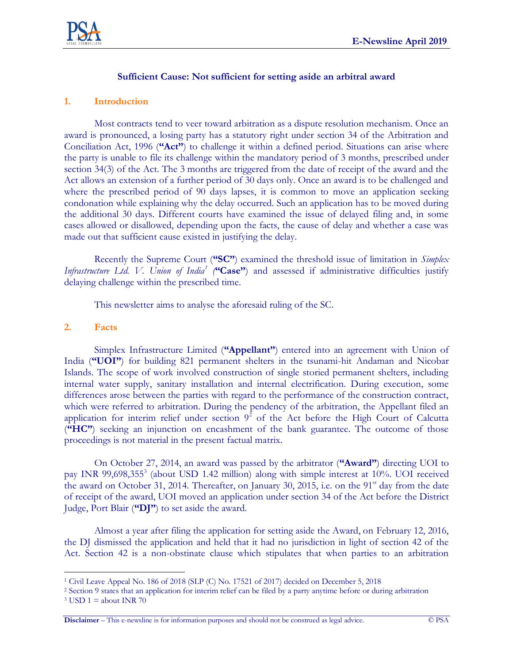

### **Sufficient Cause: Not sufficient for setting aside an arbitral award**

#### **1. Introduction**

Most contracts tend to veer toward arbitration as a dispute resolution mechanism. Once an award is pronounced, a losing party has a statutory right under section 34 of the Arbitration and Conciliation Act, 1996 (**"Act"**) to challenge it within a defined period. Situations can arise where the party is unable to file its challenge within the mandatory period of 3 months, prescribed under section 34(3) of the Act. The 3 months are triggered from the date of receipt of the award and the Act allows an extension of a further period of 30 days only. Once an award is to be challenged and where the prescribed period of 90 days lapses, it is common to move an application seeking condonation while explaining why the delay occurred. Such an application has to be moved during the additional 30 days. Different courts have examined the issue of delayed filing and, in some cases allowed or disallowed, depending upon the facts, the cause of delay and whether a case was made out that sufficient cause existed in justifying the delay.

Recently the Supreme Court (**"SC"**) examined the threshold issue of limitation in *Simplex*  Infrastructure Ltd. V. Union of India<sup>1</sup> ("Case") and assessed if administrative difficulties justify delaying challenge within the prescribed time.

This newsletter aims to analyse the aforesaid ruling of the SC.

#### **2. Facts**

Simplex Infrastructure Limited (**"Appellant"**) entered into an agreement with Union of India (**"UOI"**) for building 821 permanent shelters in the tsunami-hit Andaman and Nicobar Islands. The scope of work involved construction of single storied permanent shelters, including internal water supply, sanitary installation and internal electrification. During execution, some differences arose between the parties with regard to the performance of the construction contract, which were referred to arbitration. During the pendency of the arbitration, the Appellant filed an application for interim relief under section  $9^2$  of the Act before the High Court of Calcutta (**"HC"**) seeking an injunction on encashment of the bank guarantee. The outcome of those proceedings is not material in the present factual matrix.

On October 27, 2014, an award was passed by the arbitrator (**"Award"**) directing UOI to pay INR 99,698,355<sup>3</sup> (about USD 1.42 million) along with simple interest at 10%. UOI received the award on October 31, 2014. Thereafter, on January 30, 2015, i.e. on the 91<sup>st</sup> day from the date of receipt of the award, UOI moved an application under section 34 of the Act before the District Judge, Port Blair (**"DJ"**) to set aside the award.

Almost a year after filing the application for setting aside the Award, on February 12, 2016, the DJ dismissed the application and held that it had no jurisdiction in light of section 42 of the Act. Section 42 is a non-obstinate clause which stipulates that when parties to an arbitration

 $\overline{a}$ 

**Disclaimer** – This e-newsline is for information purposes and should not be construed as legal advice. © PSA

<sup>1</sup> Civil Leave Appeal No. 186 of 2018 (SLP (C) No. 17521 of 2017) decided on December 5, 2018

<sup>2</sup> Section 9 states that an application for interim relief can be filed by a party anytime before or during arbitration

 $3$  USD 1 = about INR 70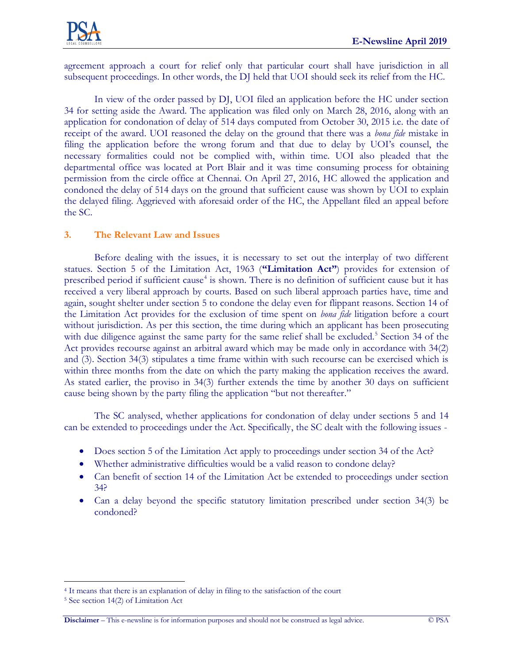

agreement approach a court for relief only that particular court shall have jurisdiction in all subsequent proceedings. In other words, the DJ held that UOI should seek its relief from the HC.

In view of the order passed by DJ, UOI filed an application before the HC under section 34 for setting aside the Award. The application was filed only on March 28, 2016, along with an application for condonation of delay of 514 days computed from October 30, 2015 i.e. the date of receipt of the award. UOI reasoned the delay on the ground that there was a *bona fide* mistake in filing the application before the wrong forum and that due to delay by UOI's counsel, the necessary formalities could not be complied with, within time. UOI also pleaded that the departmental office was located at Port Blair and it was time consuming process for obtaining permission from the circle office at Chennai. On April 27, 2016, HC allowed the application and condoned the delay of 514 days on the ground that sufficient cause was shown by UOI to explain the delayed filing. Aggrieved with aforesaid order of the HC, the Appellant filed an appeal before the SC.

## **3. The Relevant Law and Issues**

Before dealing with the issues, it is necessary to set out the interplay of two different statues. Section 5 of the Limitation Act, 1963 (**"Limitation Act"**) provides for extension of prescribed period if sufficient cause<sup>4</sup> is shown. There is no definition of sufficient cause but it has received a very liberal approach by courts. Based on such liberal approach parties have, time and again, sought shelter under section 5 to condone the delay even for flippant reasons. Section 14 of the Limitation Act provides for the exclusion of time spent on *bona fide* litigation before a court without jurisdiction. As per this section, the time during which an applicant has been prosecuting with due diligence against the same party for the same relief shall be excluded.<sup>5</sup> Section 34 of the Act provides recourse against an arbitral award which may be made only in accordance with 34(2) and (3). Section 34(3) stipulates a time frame within with such recourse can be exercised which is within three months from the date on which the party making the application receives the award. As stated earlier, the proviso in 34(3) further extends the time by another 30 days on sufficient cause being shown by the party filing the application "but not thereafter."

The SC analysed, whether applications for condonation of delay under sections 5 and 14 can be extended to proceedings under the Act. Specifically, the SC dealt with the following issues -

- Does section 5 of the Limitation Act apply to proceedings under section 34 of the Act?
- Whether administrative difficulties would be a valid reason to condone delay?
- Can benefit of section 14 of the Limitation Act be extended to proceedings under section 34?
- Can a delay beyond the specific statutory limitation prescribed under section 34(3) be condoned?

 $\overline{a}$ <sup>4</sup> It means that there is an explanation of delay in filing to the satisfaction of the court

<sup>5</sup> See section 14(2) of Limitation Act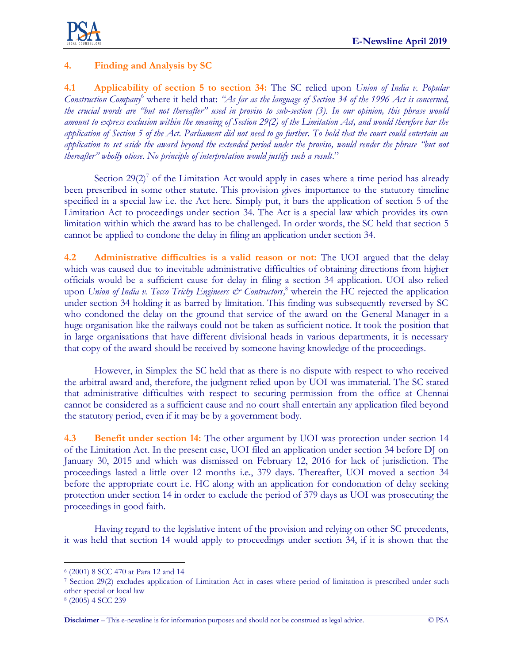

# **4. Finding and Analysis by SC**

**4.1 Applicability of section 5 to section 34:** The SC relied upon *Union of India v. Popular Construction Company*<sup>6</sup> where it held that: *"As far as the language of Section 34 of the 1996 Act is concerned, the crucial words are "but not thereafter" used in proviso to sub-section (3). In our opinion, this phrase would amount to express exclusion within the meaning of Section 29(2) of the Limitation Act, and would therefore bar the application of Section 5 of the Act. Parliament did not need to go further. To hold that the court could entertain an application to set aside the award beyond the extended period under the proviso, would render the phrase "but not thereafter" wholly otiose. No principle of interpretation would justify such a result*."

Section  $29(2)^7$  of the Limitation Act would apply in cases where a time period has already been prescribed in some other statute. This provision gives importance to the statutory timeline specified in a special law i.e. the Act here. Simply put, it bars the application of section 5 of the Limitation Act to proceedings under section 34. The Act is a special law which provides its own limitation within which the award has to be challenged. In order words, the SC held that section 5 cannot be applied to condone the delay in filing an application under section 34.

**4.2 Administrative difficulties is a valid reason or not:** The UOI argued that the delay which was caused due to inevitable administrative difficulties of obtaining directions from higher officials would be a sufficient cause for delay in filing a section 34 application. UOI also relied upon *Union of India v. Tecco Trichy Engineers & Contractors*,<sup>8</sup> wherein the HC rejected the application under section 34 holding it as barred by limitation. This finding was subsequently reversed by SC who condoned the delay on the ground that service of the award on the General Manager in a huge organisation like the railways could not be taken as sufficient notice. It took the position that in large organisations that have different divisional heads in various departments, it is necessary that copy of the award should be received by someone having knowledge of the proceedings.

However, in Simplex the SC held that as there is no dispute with respect to who received the arbitral award and, therefore, the judgment relied upon by UOI was immaterial. The SC stated that administrative difficulties with respect to securing permission from the office at Chennai cannot be considered as a sufficient cause and no court shall entertain any application filed beyond the statutory period, even if it may be by a government body.

**4.3 Benefit under section 14:** The other argument by UOI was protection under section 14 of the Limitation Act. In the present case, UOI filed an application under section 34 before DJ on January 30, 2015 and which was dismissed on February 12, 2016 for lack of jurisdiction. The proceedings lasted a little over 12 months i.e., 379 days. Thereafter, UOI moved a section 34 before the appropriate court i.e. HC along with an application for condonation of delay seeking protection under section 14 in order to exclude the period of 379 days as UOI was prosecuting the proceedings in good faith.

Having regard to the legislative intent of the provision and relying on other SC precedents, it was held that section 14 would apply to proceedings under section 34, if it is shown that the

 $\overline{a}$ 

<sup>6</sup> (2001) 8 SCC 470 at Para 12 and 14

<sup>7</sup> Section 29(2) excludes application of Limitation Act in cases where period of limitation is prescribed under such other special or local law

<sup>8</sup> (2005) 4 SCC 239

**Disclaimer** – This e-newsline is for information purposes and should not be construed as legal advice. © PSA